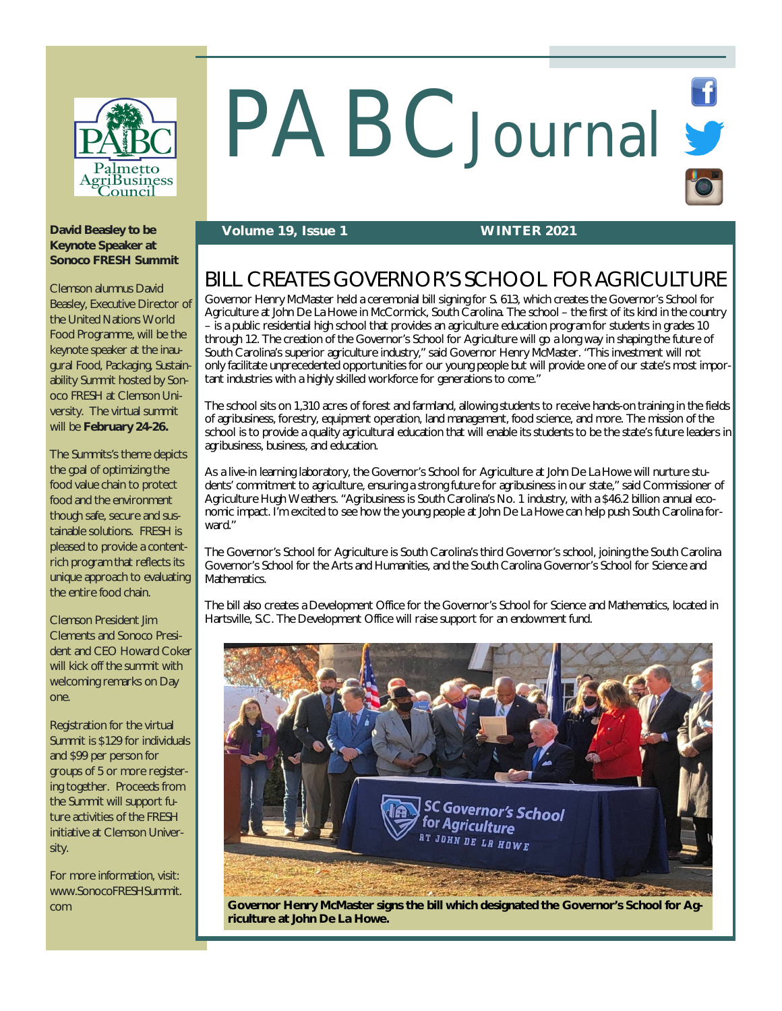

# PABCJournal St

### **David Beasley to be Keynote Speaker at Sonoco FRESH Summit**

Clemson alumnus David Beasley, Executive Director of the United Nations World Food Programme, will be the keynote speaker at the inaugural Food, Packaging, Sustainability Summit hosted by Sonoco FRESH at Clemson University. The virtual summit will be **February 24-26.**

The Summits's theme depicts the goal of optimizing the food value chain to protect food and the environment though safe, secure and sustainable solutions. FRESH is pleased to provide a contentrich program that reflects its unique approach to evaluating the entire food chain.

Clemson President Jim Clements and Sonoco President and CEO Howard Coker will kick off the summit with welcoming remarks on Day one.

Registration for the virtual Summit is \$129 for individuals and \$99 per person for groups of 5 or more registering together. Proceeds from the Summit will support future activities of the FRESH initiative at Clemson University.

For more information, visit: [www.SonocoFRESHSummit.](http://www.SonocoFRESHSummit.) com

## **Volume 19, Issue 1 WINTER 2021**

# BILL CREATES GOVERNOR'S SCHOOL FOR AGRICULTURE

Governor Henry McMaster held a ceremonial bill signing for S. 613, which creates the Governor's School for Agriculture at John De La Howe in McCormick, South Carolina. The school – the first of its kind in the country – is a public residential high school that provides an agriculture education program for students in grades 10 through 12. The creation of the Governor's School for Agriculture will go a long way in shaping the future of South Carolina's superior agriculture industry," said Governor Henry McMaster. "This investment will not only facilitate unprecedented opportunities for our young people but will provide one of our state's most important industries with a highly skilled workforce for generations to come."

The school sits on 1,310 acres of forest and farmland, allowing students to receive hands-on training in the fields of agribusiness, forestry, equipment operation, land management, food science, and more. The mission of the school is to provide a quality agricultural education that will enable its students to be the state's future leaders in agribusiness, business, and education.

As a live-in learning laboratory, the Governor's School for Agriculture at John De La Howe will nurture students' commitment to agriculture, ensuring a strong future for agribusiness in our state," said Commissioner of Agriculture Hugh Weathers. "Agribusiness is South Carolina's No. 1 industry, with a \$46.2 billion annual economic impact. I'm excited to see how the young people at John De La Howe can help push South Carolina forward."

The Governor's School for Agriculture is South Carolina's third Governor's school, joining the South Carolina Governor's School for the Arts and Humanities, and the South Carolina Governor's School for Science and Mathematics.

The bill also creates a Development Office for the Governor's School for Science and Mathematics, located in Hartsville, S.C. The Development Office will raise support for an endowment fund.



**Governor Henry McMaster signs the bill which designated the Governor's School for Agriculture at John De La Howe.**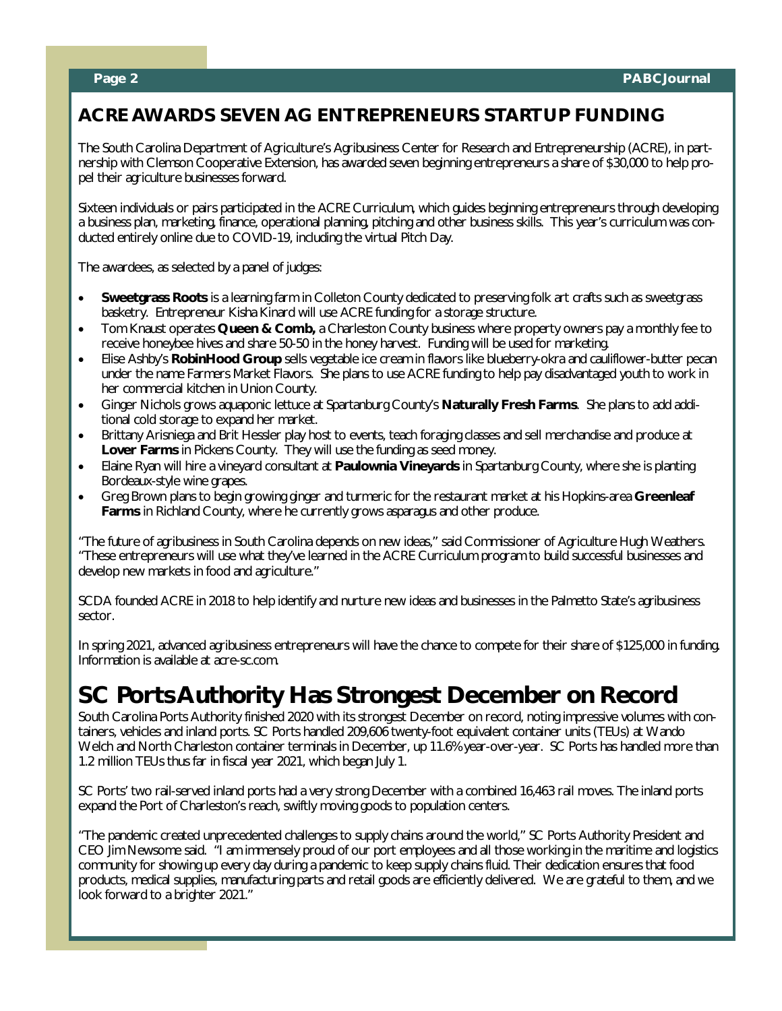# **ACRE AWARDS SEVEN AG ENTREPRENEURS STARTUP FUNDING**

The South Carolina Department of Agriculture's Agribusiness Center for Research and Entrepreneurship (ACRE), in partnership with Clemson Cooperative Extension, has awarded seven beginning entrepreneurs a share of \$30,000 to help propel their agriculture businesses forward.

Sixteen individuals or pairs participated in the ACRE Curriculum, which guides beginning entrepreneurs through developing a business plan, marketing, finance, operational planning, pitching and other business skills. This year's curriculum was conducted entirely online due to COVID-19, including the virtual Pitch Day.

The awardees, as selected by a panel of judges:

- **Sweetgrass Roots** is a learning farm in Colleton County dedicated to preserving folk art crafts such as sweetgrass basketry. Entrepreneur Kisha Kinard will use ACRE funding for a storage structure.
- Tom Knaust operates **Queen & Comb,** a Charleston County business where property owners pay a monthly fee to receive honeybee hives and share 50-50 in the honey harvest. Funding will be used for marketing.
- Elise Ashby's **RobinHood Group** sells vegetable ice cream in flavors like blueberry-okra and cauliflower-butter pecan under the name Farmers Market Flavors. She plans to use ACRE funding to help pay disadvantaged youth to work in her commercial kitchen in Union County.
- Ginger Nichols grows aquaponic lettuce at Spartanburg County's **Naturally Fresh Farms**. She plans to add additional cold storage to expand her market.
- Brittany Arisniega and Brit Hessler play host to events, teach foraging classes and sell merchandise and produce at **Lover Farms** in Pickens County. They will use the funding as seed money.
- Elaine Ryan will hire a vineyard consultant at **Paulownia Vineyards** in Spartanburg County, where she is planting Bordeaux-style wine grapes.
- Greg Brown plans to begin growing ginger and turmeric for the restaurant market at his Hopkins-area **Greenleaf Farms** in Richland County, where he currently grows asparagus and other produce.

"The future of agribusiness in South Carolina depends on new ideas," said Commissioner of Agriculture Hugh Weathers. "These entrepreneurs will use what they've learned in the ACRE Curriculum program to build successful businesses and develop new markets in food and agriculture."

SCDA founded ACRE in 2018 to help identify and nurture new ideas and businesses in the Palmetto State's agribusiness sector.

In spring 2021, advanced agribusiness entrepreneurs will have the chance to compete for their share of \$125,000 in funding. Information is available at acre-sc.com.

# **SC Ports Authority Has Strongest December on Record**

South Carolina Ports Authority finished 2020 with its strongest December on record, noting impressive volumes with containers, vehicles and inland ports. SC Ports handled 209,606 twenty-foot equivalent container units (TEUs) at Wando Welch and North Charleston container terminals in December, up 11.6% year-over-year. SC Ports has handled more than 1.2 million TEUs thus far in fiscal year 2021, which began July 1.

SC Ports' two rail-served inland ports had a very strong December with a combined 16,463 rail moves. The inland ports expand the Port of Charleston's reach, swiftly moving goods to population centers.

"The pandemic created unprecedented challenges to supply chains around the world," SC Ports Authority President and CEO Jim Newsome said. "I am immensely proud of our port employees and all those working in the maritime and logistics community for showing up every day during a pandemic to keep supply chains fluid. Their dedication ensures that food products, medical supplies, manufacturing parts and retail goods are efficiently delivered. We are grateful to them, and we look forward to a brighter 2021."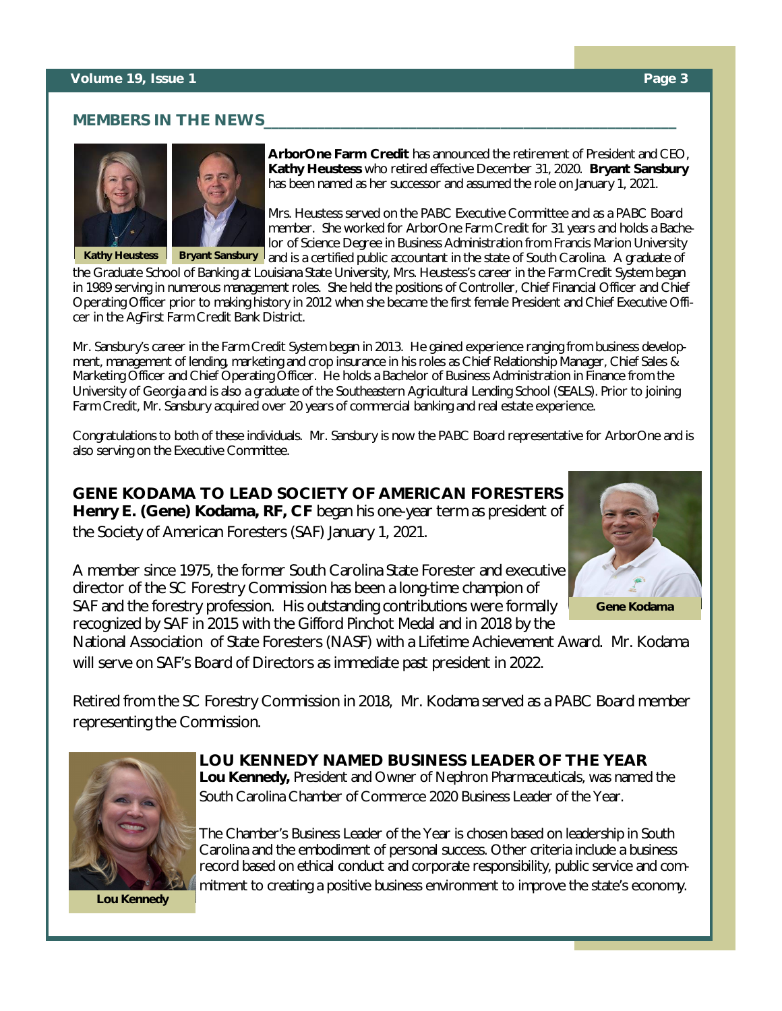## **MEMBERS IN THE NEWS**





**ArborOne Farm Credit** has announced the retirement of President and CEO, **Kathy Heustess** who retired effective December 31, 2020. **Bryant Sansbury**  has been named as her successor and assumed the role on January 1, 2021.

Mrs. Heustess served on the PABC Executive Committee and as a PABC Board member. She worked for ArborOne Farm Credit for 31 years and holds a Bachelor of Science Degree in Business Administration from Francis Marion University **Kathy Heustess | Bryant Sansbury** and is a certified public accountant in the state of South Carolina. A graduate of

the Graduate School of Banking at Louisiana State University, Mrs. Heustess's career in the Farm Credit System began in 1989 serving in numerous management roles. She held the positions of Controller, Chief Financial Officer and Chief Operating Officer prior to making history in 2012 when she became the first female President and Chief Executive Officer in the AgFirst Farm Credit Bank District.

Mr. Sansbury's career in the Farm Credit System began in 2013. He gained experience ranging from business development, management of lending, marketing and crop insurance in his roles as Chief Relationship Manager, Chief Sales & Marketing Officer and Chief Operating Officer. He holds a Bachelor of Business Administration in Finance from the University of Georgia and is also a graduate of the Southeastern Agricultural Lending School (SEALS). Prior to joining Farm Credit, Mr. Sansbury acquired over 20 years of commercial banking and real estate experience.

Congratulations to both of these individuals. Mr. Sansbury is now the PABC Board representative for ArborOne and is also serving on the Executive Committee.

**GENE KODAMA TO LEAD SOCIETY OF AMERICAN FORESTERS Henry E. (Gene) Kodama, RF, CF** began his one-year term as president of the Society of American Foresters (SAF) January 1, 2021.



**Gene Kodama**

A member since 1975, the former South Carolina State Forester and executive director of the SC Forestry Commission has been a long-time champion of SAF and the forestry profession. His outstanding contributions were formally recognized by SAF in 2015 with the Gifford Pinchot Medal and in 2018 by the

National Association of State Foresters (NASF) with a Lifetime Achievement Award. Mr. Kodama will serve on SAF's Board of Directors as immediate past president in 2022.

Retired from the SC Forestry Commission in 2018, Mr. Kodama served as a PABC Board member representing the Commission.



# **LOU KENNEDY NAMED BUSINESS LEADER OF THE YEAR**

**Lou Kennedy,** President and Owner of Nephron Pharmaceuticals, was named the South Carolina Chamber of Commerce 2020 Business Leader of the Year.

The Chamber's Business Leader of the Year is chosen based on leadership in South Carolina and the embodiment of personal success. Other criteria include a business record based on ethical conduct and corporate responsibility, public service and commitment to creating a positive business environment to improve the state's economy.

**Lou Kennedy**